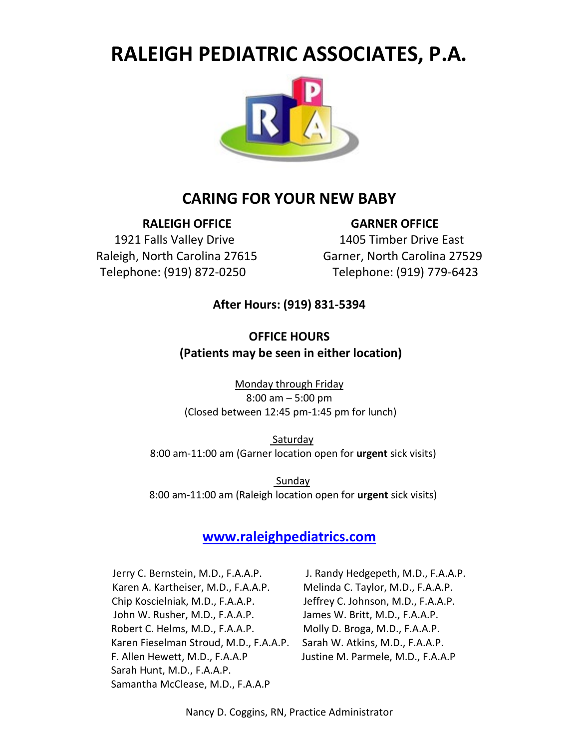# **RALEIGH PEDIATRIC ASSOCIATES, P.A.**



## **CARING FOR YOUR NEW BABY**

**RALEIGH OFFICE GARNER OFFICE**

1921 Falls Valley Drive 1405 Timber Drive East Raleigh, North Carolina 27615 Garner, North Carolina 27529 Telephone: (919) 872-0250 Telephone: (919) 779-6423

#### **After Hours: (919) 831-5394**

## **OFFICE HOURS (Patients may be seen in either location)**

Monday through Friday 8:00 am – 5:00 pm (Closed between 12:45 pm-1:45 pm for lunch)

 Saturday 8:00 am-11:00 am (Garner location open for **urgent** sick visits)

 Sunday 8:00 am-11:00 am (Raleigh location open for **urgent** sick visits)

#### **[www.raleighpediatrics.com](http://www.raleighpediatrics.com/)**

Jerry C. Bernstein, M.D., F.A.A.P. J. Randy Hedgepeth, M.D., F.A.A.P. Karen A. Kartheiser, M.D., F.A.A.P. Melinda C. Taylor, M.D., F.A.A.P. Chip Koscielniak, M.D., F.A.A.P. Jeffrey C. Johnson, M.D., F.A.A.P. John W. Rusher, M.D., F.A.A.P. James W. Britt, M.D., F.A.A.P. Robert C. Helms, M.D., F.A.A.P. Molly D. Broga, M.D., F.A.A.P. Karen Fieselman Stroud, M.D., F.A.A.P. Sarah W. Atkins, M.D., F.A.A.P. F. Allen Hewett, M.D., F.A.A.P Justine M. Parmele, M.D., F.A.A.P Sarah Hunt, M.D., F.A.A.P. Samantha McClease, M.D., F.A.A.P

Nancy D. Coggins, RN, Practice Administrator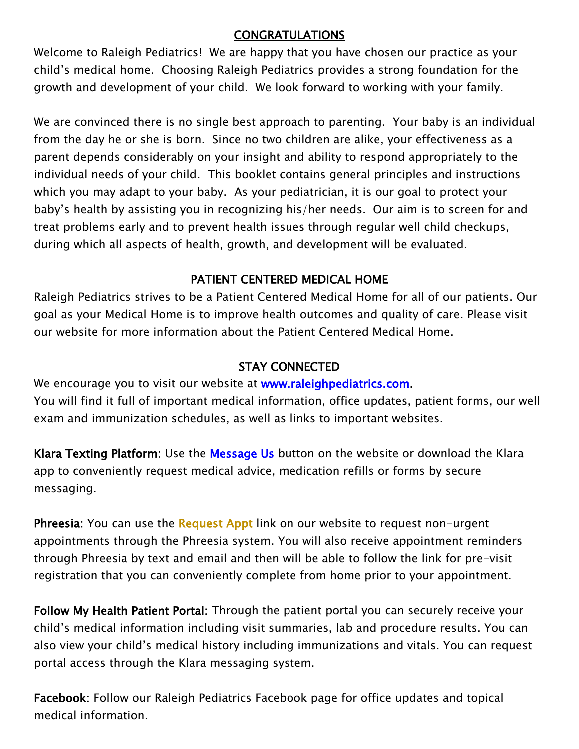## CONGRATULATIONS

Welcome to Raleigh Pediatrics! We are happy that you have chosen our practice as your child's medical home. Choosing Raleigh Pediatrics provides a strong foundation for the growth and development of your child. We look forward to working with your family.

We are convinced there is no single best approach to parenting. Your baby is an individual from the day he or she is born. Since no two children are alike, your effectiveness as a parent depends considerably on your insight and ability to respond appropriately to the individual needs of your child. This booklet contains general principles and instructions which you may adapt to your baby. As your pediatrician, it is our goal to protect your baby's health by assisting you in recognizing his/her needs. Our aim is to screen for and treat problems early and to prevent health issues through regular well child checkups, during which all aspects of health, growth, and development will be evaluated.

## PATIENT CENTERED MEDICAL HOME

Raleigh Pediatrics strives to be a Patient Centered Medical Home for all of our patients. Our goal as your Medical Home is to improve health outcomes and quality of care. Please visit our website for more information about the Patient Centered Medical Home.

## STAY CONNECTED

We encourage you to visit our website at **[www.raleighpediatrics.com.](http://www.raleighpediatrics.com/)** You will find it full of important medical information, office updates, patient forms, our well exam and immunization schedules, as well as links to important websites.

Klara Texting Platform: Use the Message Us button on the website or download the Klara app to conveniently request medical advice, medication refills or forms by secure messaging.

**Phreesia:** You can use the Request Appt link on our website to request non-urgent appointments through the Phreesia system. You will also receive appointment reminders through Phreesia by text and email and then will be able to follow the link for pre-visit registration that you can conveniently complete from home prior to your appointment.

Follow My Health Patient Portal: Through the patient portal you can securely receive your child's medical information including visit summaries, lab and procedure results. You can also view your child's medical history including immunizations and vitals. You can request portal access through the Klara messaging system.

Facebook: Follow our Raleigh Pediatrics Facebook page for office updates and topical medical information.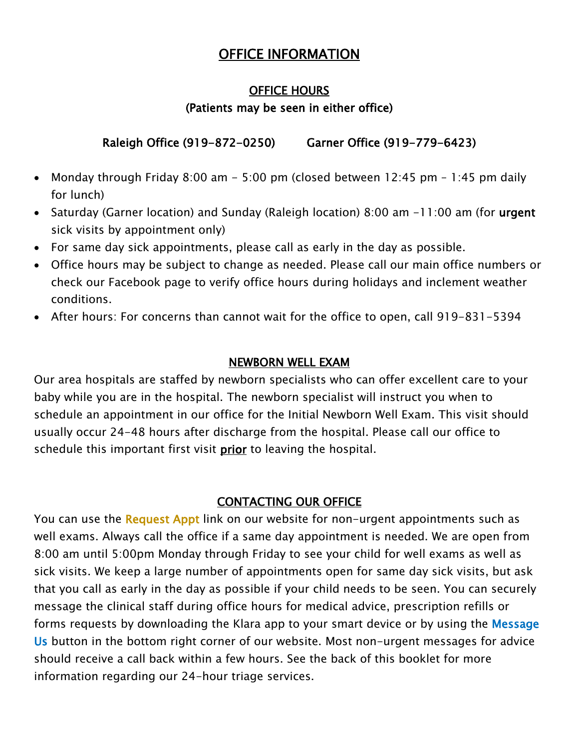# OFFICE INFORMATION

#### OFFICE HOURS

## (Patients may be seen in either office)

## Raleigh Office (919-872-0250) Garner Office (919-779-6423)

- Monday through Friday 8:00 am  $-$  5:00 pm (closed between 12:45 pm  $-$  1:45 pm daily for lunch)
- Saturday (Garner location) and Sunday (Raleigh location) 8:00 am -11:00 am (for urgent sick visits by appointment only)
- For same day sick appointments, please call as early in the day as possible.
- Office hours may be subject to change as needed. Please call our main office numbers or check our Facebook page to verify office hours during holidays and inclement weather conditions.
- After hours: For concerns than cannot wait for the office to open, call 919-831-5394

## NEWBORN WELL EXAM

Our area hospitals are staffed by newborn specialists who can offer excellent care to your baby while you are in the hospital. The newborn specialist will instruct you when to schedule an appointment in our office for the Initial Newborn Well Exam. This visit should usually occur 24-48 hours after discharge from the hospital. Please call our office to schedule this important first visit *prior* to leaving the hospital.

#### CONTACTING OUR OFFICE

You can use the Request Appt link on our website for non-urgent appointments such as well exams. Always call the office if a same day appointment is needed. We are open from 8:00 am until 5:00pm Monday through Friday to see your child for well exams as well as sick visits. We keep a large number of appointments open for same day sick visits, but ask that you call as early in the day as possible if your child needs to be seen. You can securely message the clinical staff during office hours for medical advice, prescription refills or forms requests by downloading the Klara app to your smart device or by using the Message Us button in the bottom right corner of our website. Most non-urgent messages for advice should receive a call back within a few hours. See the back of this booklet for more information regarding our 24-hour triage services.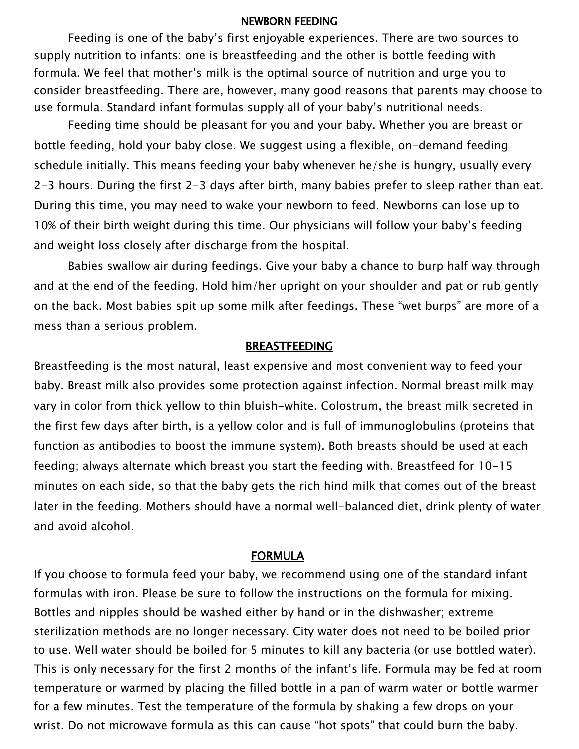#### NEWBORN FEEDING

Feeding is one of the baby's first enjoyable experiences. There are two sources to supply nutrition to infants: one is breastfeeding and the other is bottle feeding with formula. We feel that mother's milk is the optimal source of nutrition and urge you to consider breastfeeding. There are, however, many good reasons that parents may choose to use formula. Standard infant formulas supply all of your baby's nutritional needs.

Feeding time should be pleasant for you and your baby. Whether you are breast or bottle feeding, hold your baby close. We suggest using a flexible, on-demand feeding schedule initially. This means feeding your baby whenever he/she is hungry, usually every 2-3 hours. During the first 2-3 days after birth, many babies prefer to sleep rather than eat. During this time, you may need to wake your newborn to feed. Newborns can lose up to 10% of their birth weight during this time. Our physicians will follow your baby's feeding and weight loss closely after discharge from the hospital.

Babies swallow air during feedings. Give your baby a chance to burp half way through and at the end of the feeding. Hold him/her upright on your shoulder and pat or rub gently on the back. Most babies spit up some milk after feedings. These "wet burps" are more of a mess than a serious problem.

#### BREASTFEEDING

Breastfeeding is the most natural, least expensive and most convenient way to feed your baby. Breast milk also provides some protection against infection. Normal breast milk may vary in color from thick yellow to thin bluish-white. Colostrum, the breast milk secreted in the first few days after birth, is a yellow color and is full of immunoglobulins (proteins that function as antibodies to boost the immune system). Both breasts should be used at each feeding; always alternate which breast you start the feeding with. Breastfeed for 10-15 minutes on each side, so that the baby gets the rich hind milk that comes out of the breast later in the feeding. Mothers should have a normal well-balanced diet, drink plenty of water and avoid alcohol.

#### FORMULA

If you choose to formula feed your baby, we recommend using one of the standard infant formulas with iron. Please be sure to follow the instructions on the formula for mixing. Bottles and nipples should be washed either by hand or in the dishwasher; extreme sterilization methods are no longer necessary. City water does not need to be boiled prior to use. Well water should be boiled for 5 minutes to kill any bacteria (or use bottled water). This is only necessary for the first 2 months of the infant's life. Formula may be fed at room temperature or warmed by placing the filled bottle in a pan of warm water or bottle warmer for a few minutes. Test the temperature of the formula by shaking a few drops on your wrist. Do not microwave formula as this can cause "hot spots" that could burn the baby.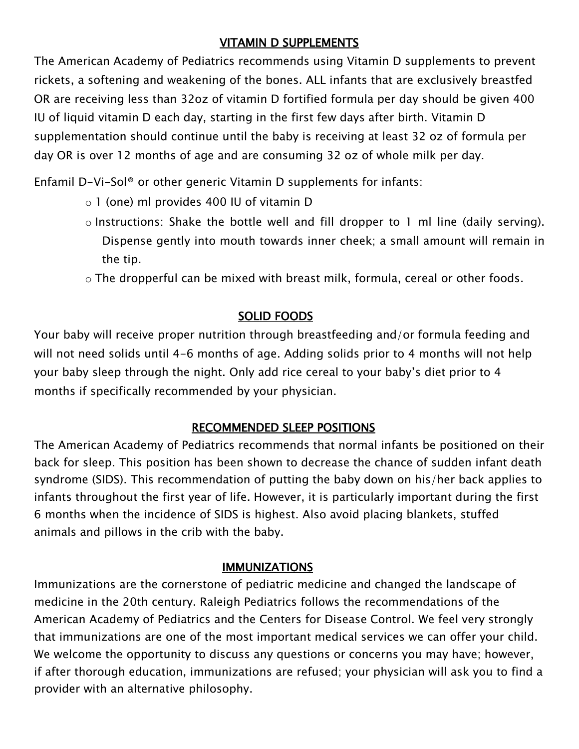## VITAMIN D SUPPLEMENTS

The American Academy of Pediatrics recommends using Vitamin D supplements to prevent rickets, a softening and weakening of the bones. ALL infants that are exclusively breastfed OR are receiving less than 32oz of vitamin D fortified formula per day should be given 400 IU of liquid vitamin D each day, starting in the first few days after birth. Vitamin D supplementation should continue until the baby is receiving at least 32 oz of formula per day OR is over 12 months of age and are consuming 32 oz of whole milk per day.

Enfamil D-Vi-Sol® or other generic Vitamin D supplements for infants:

- o 1 (one) ml provides 400 IU of vitamin D
- o Instructions: Shake the bottle well and fill dropper to 1 ml line (daily serving). Dispense gently into mouth towards inner cheek; a small amount will remain in the tip.
- o The dropperful can be mixed with breast milk, formula, cereal or other foods.

## SOLID FOODS

Your baby will receive proper nutrition through breastfeeding and/or formula feeding and will not need solids until 4-6 months of age. Adding solids prior to 4 months will not help your baby sleep through the night. Only add rice cereal to your baby's diet prior to 4 months if specifically recommended by your physician.

## RECOMMENDED SLEEP POSITIONS

The American Academy of Pediatrics recommends that normal infants be positioned on their back for sleep. This position has been shown to decrease the chance of sudden infant death syndrome (SIDS). This recommendation of putting the baby down on his/her back applies to infants throughout the first year of life. However, it is particularly important during the first 6 months when the incidence of SIDS is highest. Also avoid placing blankets, stuffed animals and pillows in the crib with the baby.

#### **IMMUNIZATIONS**

Immunizations are the cornerstone of pediatric medicine and changed the landscape of medicine in the 20th century. Raleigh Pediatrics follows the recommendations of the American Academy of Pediatrics and the Centers for Disease Control. We feel very strongly that immunizations are one of the most important medical services we can offer your child. We welcome the opportunity to discuss any questions or concerns you may have; however, if after thorough education, immunizations are refused; your physician will ask you to find a provider with an alternative philosophy.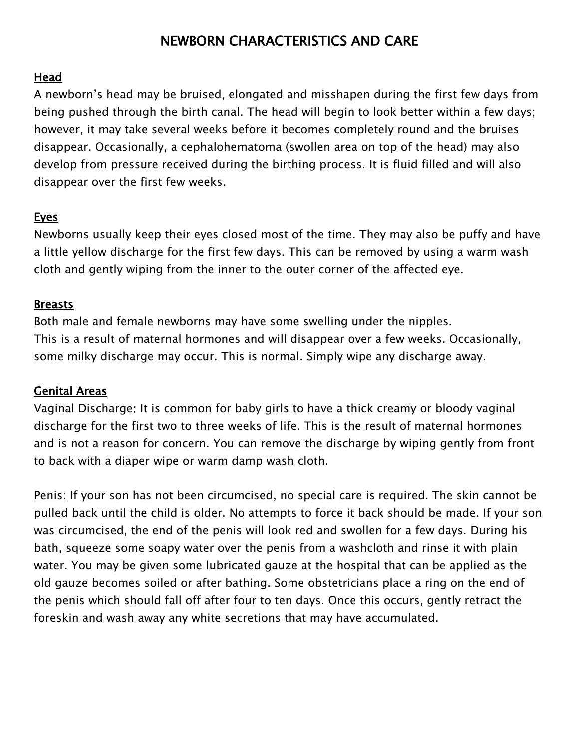# NEWBORN CHARACTERISTICS AND CARE

## Head

A newborn's head may be bruised, elongated and misshapen during the first few days from being pushed through the birth canal. The head will begin to look better within a few days; however, it may take several weeks before it becomes completely round and the bruises disappear. Occasionally, a cephalohematoma (swollen area on top of the head) may also develop from pressure received during the birthing process. It is fluid filled and will also disappear over the first few weeks.

#### Eyes

Newborns usually keep their eyes closed most of the time. They may also be puffy and have a little yellow discharge for the first few days. This can be removed by using a warm wash cloth and gently wiping from the inner to the outer corner of the affected eye.

#### Breasts

Both male and female newborns may have some swelling under the nipples. This is a result of maternal hormones and will disappear over a few weeks. Occasionally, some milky discharge may occur. This is normal. Simply wipe any discharge away.

#### Genital Areas

Vaginal Discharge: It is common for baby girls to have a thick creamy or bloody vaginal discharge for the first two to three weeks of life. This is the result of maternal hormones and is not a reason for concern. You can remove the discharge by wiping gently from front to back with a diaper wipe or warm damp wash cloth.

Penis: If your son has not been circumcised, no special care is required. The skin cannot be pulled back until the child is older. No attempts to force it back should be made. If your son was circumcised, the end of the penis will look red and swollen for a few days. During his bath, squeeze some soapy water over the penis from a washcloth and rinse it with plain water. You may be given some lubricated gauze at the hospital that can be applied as the old gauze becomes soiled or after bathing. Some obstetricians place a ring on the end of the penis which should fall off after four to ten days. Once this occurs, gently retract the foreskin and wash away any white secretions that may have accumulated.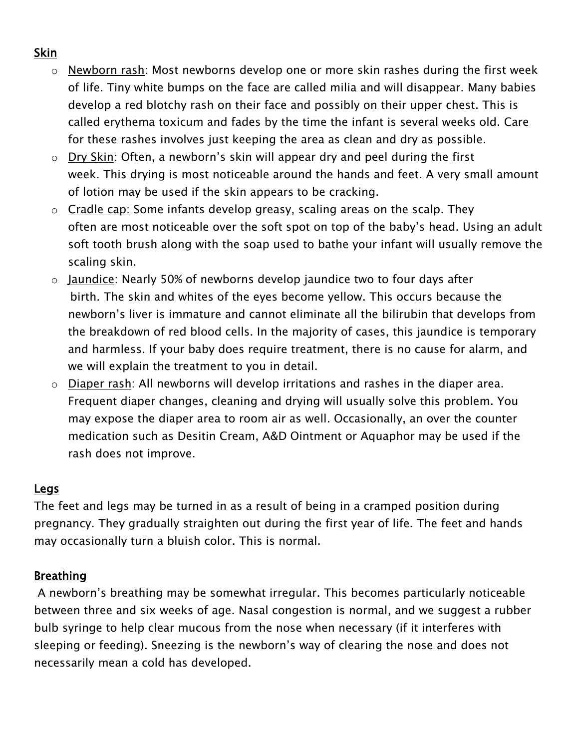## Skin

- o Newborn rash: Most newborns develop one or more skin rashes during the first week of life. Tiny white bumps on the face are called milia and will disappear. Many babies develop a red blotchy rash on their face and possibly on their upper chest. This is called erythema toxicum and fades by the time the infant is several weeks old. Care for these rashes involves just keeping the area as clean and dry as possible.
- o Dry Skin: Often, a newborn's skin will appear dry and peel during the first week. This drying is most noticeable around the hands and feet. A very small amount of lotion may be used if the skin appears to be cracking.
- $\circ$  Cradle cap: Some infants develop greasy, scaling areas on the scalp. They often are most noticeable over the soft spot on top of the baby's head. Using an adult soft tooth brush along with the soap used to bathe your infant will usually remove the scaling skin.
- o Jaundice: Nearly 50% of newborns develop jaundice two to four days after birth. The skin and whites of the eyes become yellow. This occurs because the newborn's liver is immature and cannot eliminate all the bilirubin that develops from the breakdown of red blood cells. In the majority of cases, this jaundice is temporary and harmless. If your baby does require treatment, there is no cause for alarm, and we will explain the treatment to you in detail.
- o Diaper rash: All newborns will develop irritations and rashes in the diaper area. Frequent diaper changes, cleaning and drying will usually solve this problem. You may expose the diaper area to room air as well. Occasionally, an over the counter medication such as Desitin Cream, A&D Ointment or Aquaphor may be used if the rash does not improve.

#### Legs

The feet and legs may be turned in as a result of being in a cramped position during pregnancy. They gradually straighten out during the first year of life. The feet and hands may occasionally turn a bluish color. This is normal.

## Breathing

 A newborn's breathing may be somewhat irregular. This becomes particularly noticeable between three and six weeks of age. Nasal congestion is normal, and we suggest a rubber bulb syringe to help clear mucous from the nose when necessary (if it interferes with sleeping or feeding). Sneezing is the newborn's way of clearing the nose and does not necessarily mean a cold has developed.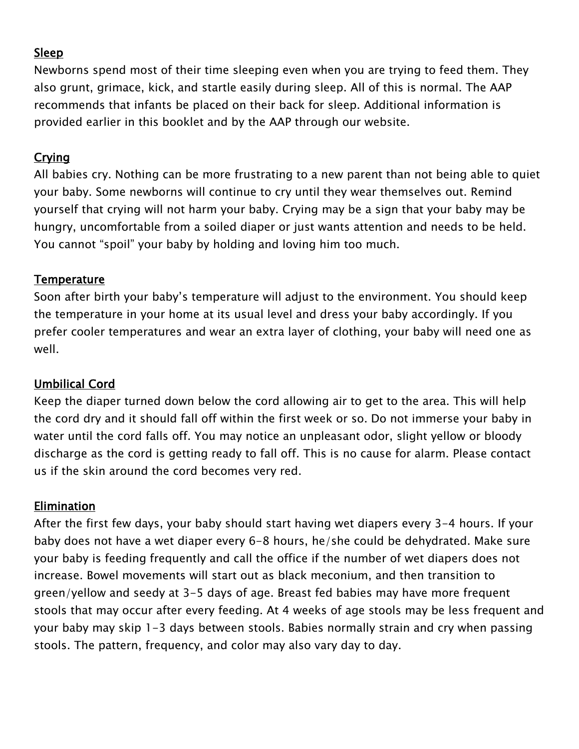## Sleep

Newborns spend most of their time sleeping even when you are trying to feed them. They also grunt, grimace, kick, and startle easily during sleep. All of this is normal. The AAP recommends that infants be placed on their back for sleep. Additional information is provided earlier in this booklet and by the AAP through our website.

## **Crying**

All babies cry. Nothing can be more frustrating to a new parent than not being able to quiet your baby. Some newborns will continue to cry until they wear themselves out. Remind yourself that crying will not harm your baby. Crying may be a sign that your baby may be hungry, uncomfortable from a soiled diaper or just wants attention and needs to be held. You cannot "spoil" your baby by holding and loving him too much.

## **Temperature**

Soon after birth your baby's temperature will adjust to the environment. You should keep the temperature in your home at its usual level and dress your baby accordingly. If you prefer cooler temperatures and wear an extra layer of clothing, your baby will need one as well.

## Umbilical Cord

Keep the diaper turned down below the cord allowing air to get to the area. This will help the cord dry and it should fall off within the first week or so. Do not immerse your baby in water until the cord falls off. You may notice an unpleasant odor, slight yellow or bloody discharge as the cord is getting ready to fall off. This is no cause for alarm. Please contact us if the skin around the cord becomes very red.

## Elimination

After the first few days, your baby should start having wet diapers every 3-4 hours. If your baby does not have a wet diaper every 6-8 hours, he/she could be dehydrated. Make sure your baby is feeding frequently and call the office if the number of wet diapers does not increase. Bowel movements will start out as black meconium, and then transition to green/yellow and seedy at 3-5 days of age. Breast fed babies may have more frequent stools that may occur after every feeding. At 4 weeks of age stools may be less frequent and your baby may skip 1-3 days between stools. Babies normally strain and cry when passing stools. The pattern, frequency, and color may also vary day to day.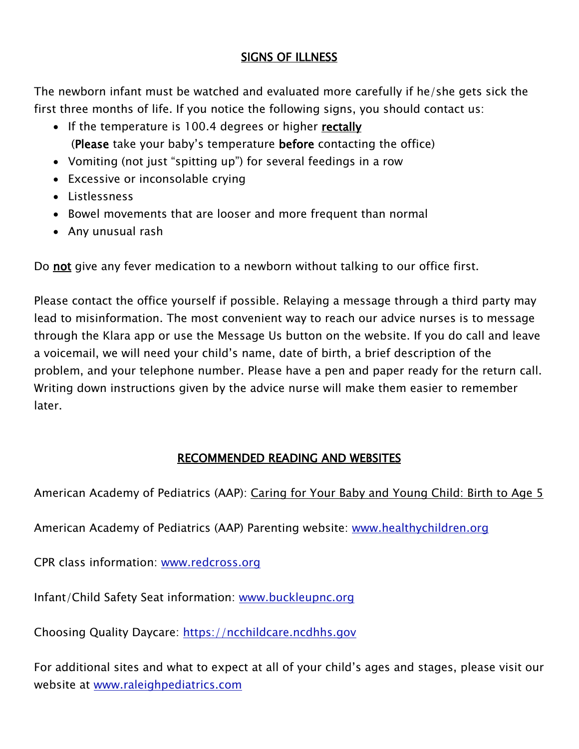## SIGNS OF ILLNESS

The newborn infant must be watched and evaluated more carefully if he/she gets sick the first three months of life. If you notice the following signs, you should contact us:

- If the temperature is 100.4 degrees or higher rectally (Please take your baby's temperature before contacting the office)
- Vomiting (not just "spitting up") for several feedings in a row
- Excessive or inconsolable crying
- Listlessness
- Bowel movements that are looser and more frequent than normal
- Any unusual rash

Do not give any fever medication to a newborn without talking to our office first.

Please contact the office yourself if possible. Relaying a message through a third party may lead to misinformation. The most convenient way to reach our advice nurses is to message through the Klara app or use the Message Us button on the website. If you do call and leave a voicemail, we will need your child's name, date of birth, a brief description of the problem, and your telephone number. Please have a pen and paper ready for the return call. Writing down instructions given by the advice nurse will make them easier to remember later.

## RECOMMENDED READING AND WEBSITES

American Academy of Pediatrics (AAP): Caring for Your Baby and Young Child: Birth to Age 5

American Academy of Pediatrics (AAP) Parenting website: [www.healthychildren.org](http://www.healthychildren.org/)

CPR class information: [www.redcross.org](http://www.redcross.org/)

Infant/Child Safety Seat information: [www.buckleupnc.org](http://www.buckleupnc.org/)

Choosing Quality Daycare: https://ncchildcare.ncdhhs.gov

For additional sites and what to expect at all of your child's ages and stages, please visit our website at [www.raleighpediatrics.com](http://www.raleighpediatrics.com/)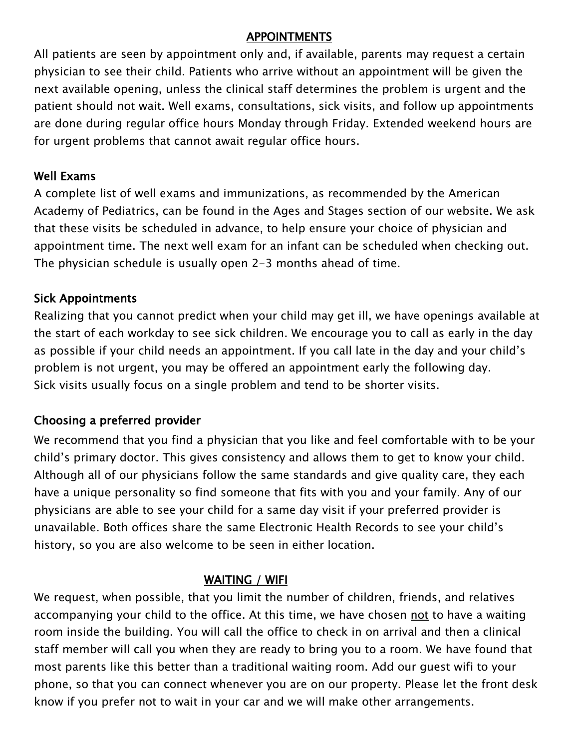#### APPOINTMENTS

All patients are seen by appointment only and, if available, parents may request a certain physician to see their child. Patients who arrive without an appointment will be given the next available opening, unless the clinical staff determines the problem is urgent and the patient should not wait. Well exams, consultations, sick visits, and follow up appointments are done during regular office hours Monday through Friday. Extended weekend hours are for urgent problems that cannot await regular office hours.

## Well Exams

A complete list of well exams and immunizations, as recommended by the American Academy of Pediatrics, can be found in the Ages and Stages section of our website. We ask that these visits be scheduled in advance, to help ensure your choice of physician and appointment time. The next well exam for an infant can be scheduled when checking out. The physician schedule is usually open 2-3 months ahead of time.

## Sick Appointments

Realizing that you cannot predict when your child may get ill, we have openings available at the start of each workday to see sick children. We encourage you to call as early in the day as possible if your child needs an appointment. If you call late in the day and your child's problem is not urgent, you may be offered an appointment early the following day. Sick visits usually focus on a single problem and tend to be shorter visits.

## Choosing a preferred provider

We recommend that you find a physician that you like and feel comfortable with to be your child's primary doctor. This gives consistency and allows them to get to know your child. Although all of our physicians follow the same standards and give quality care, they each have a unique personality so find someone that fits with you and your family. Any of our physicians are able to see your child for a same day visit if your preferred provider is unavailable. Both offices share the same Electronic Health Records to see your child's history, so you are also welcome to be seen in either location.

## WAITING / WIFI

We request, when possible, that you limit the number of children, friends, and relatives accompanying your child to the office. At this time, we have chosen not to have a waiting room inside the building. You will call the office to check in on arrival and then a clinical staff member will call you when they are ready to bring you to a room. We have found that most parents like this better than a traditional waiting room. Add our guest wifi to your phone, so that you can connect whenever you are on our property. Please let the front desk know if you prefer not to wait in your car and we will make other arrangements.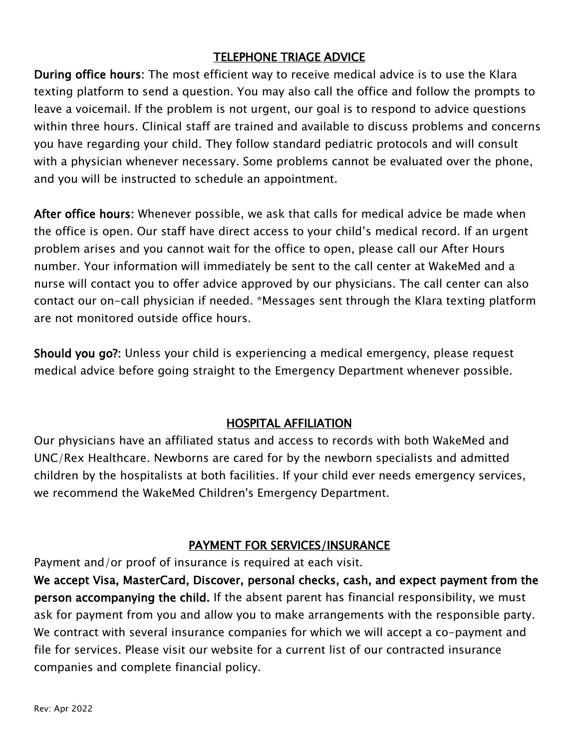## TELEPHONE TRIAGE ADVICE

During office hours: The most efficient way to receive medical advice is to use the Klara texting platform to send a question. You may also call the office and follow the prompts to leave a voicemail. If the problem is not urgent, our goal is to respond to advice questions within three hours. Clinical staff are trained and available to discuss problems and concerns you have regarding your child. They follow standard pediatric protocols and will consult with a physician whenever necessary. Some problems cannot be evaluated over the phone, and you will be instructed to schedule an appointment.

After office hours: Whenever possible, we ask that calls for medical advice be made when the office is open. Our staff have direct access to your child's medical record. If an urgent problem arises and you cannot wait for the office to open, please call our After Hours number. Your information will immediately be sent to the call center at WakeMed and a nurse will contact you to offer advice approved by our physicians. The call center can also contact our on-call physician if needed. \*Messages sent through the Klara texting platform are not monitored outside office hours.

Should you go?: Unless your child is experiencing a medical emergency, please request medical advice before going straight to the Emergency Department whenever possible.

## HOSPITAL AFFILIATION

Our physicians have an affiliated status and access to records with both WakeMed and UNC/Rex Healthcare. Newborns are cared for by the newborn specialists and admitted children by the hospitalists at both facilities. If your child ever needs emergency services, we recommend the WakeMed Children's Emergency Department.

## PAYMENT FOR SERVICES/INSURANCE

Payment and/or proof of insurance is required at each visit.

We accept Visa, MasterCard, Discover, personal checks, cash, and expect payment from the person accompanying the child. If the absent parent has financial responsibility, we must ask for payment from you and allow you to make arrangements with the responsible party. We contract with several insurance companies for which we will accept a co-payment and file for services. Please visit our website for a current list of our contracted insurance companies and complete financial policy.